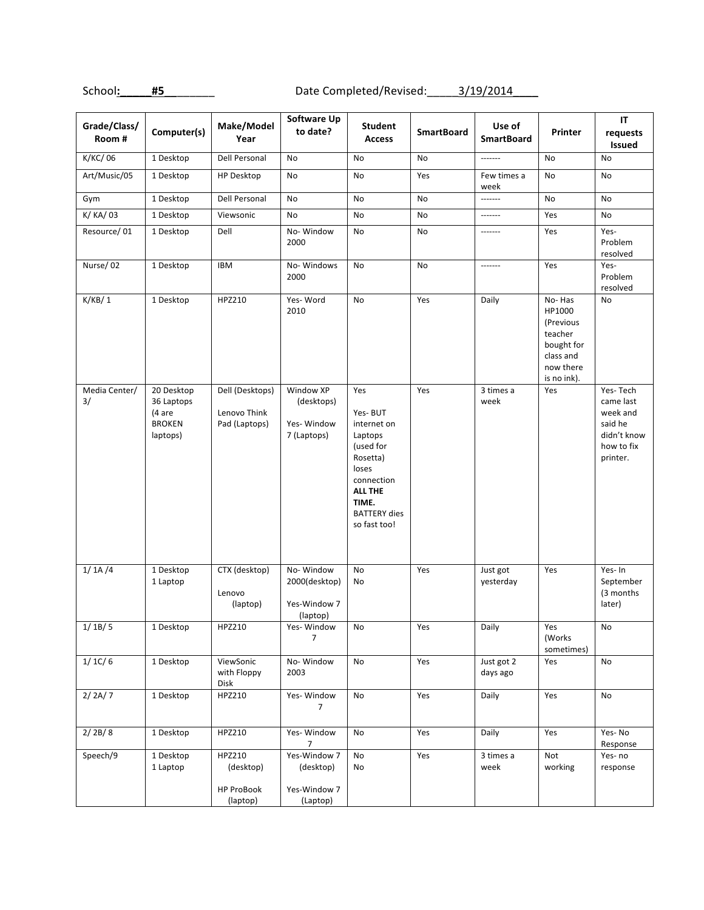School: #5\_\_\_\_\_\_\_\_ Date Completed/Revised: 3/19/2014

| Grade/Class/<br>Room# | Computer(s)                                                     | Make/Model<br>Year                                   | Software Up<br>to date?                                | <b>Student</b><br><b>Access</b>                                                                                                                            | <b>SmartBoard</b> | Use of<br><b>SmartBoard</b> | Printer                                                                                         | IT<br>requests<br>Issued                                                              |
|-----------------------|-----------------------------------------------------------------|------------------------------------------------------|--------------------------------------------------------|------------------------------------------------------------------------------------------------------------------------------------------------------------|-------------------|-----------------------------|-------------------------------------------------------------------------------------------------|---------------------------------------------------------------------------------------|
| K/KC/06               | 1 Desktop                                                       | Dell Personal                                        | No                                                     | No                                                                                                                                                         | No                | -------                     | No                                                                                              | No                                                                                    |
| Art/Music/05          | 1 Desktop                                                       | <b>HP Desktop</b>                                    | No                                                     | No                                                                                                                                                         | Yes               | Few times a<br>week         | No                                                                                              | No                                                                                    |
| Gym                   | 1 Desktop                                                       | Dell Personal                                        | No                                                     | No                                                                                                                                                         | No                | -------                     | No                                                                                              | <b>No</b>                                                                             |
| K/ KA/ 03             | 1 Desktop                                                       | Viewsonic                                            | No                                                     | No                                                                                                                                                         | No                | -------                     | Yes                                                                                             | No                                                                                    |
| Resource/01           | 1 Desktop                                                       | Dell                                                 | No-Window<br>2000                                      | <b>No</b>                                                                                                                                                  | No                | -------                     | Yes                                                                                             | Yes-<br>Problem<br>resolved                                                           |
| Nurse/02              | 1 Desktop                                                       | <b>IBM</b>                                           | No-Windows<br>2000                                     | No                                                                                                                                                         | No                | -------                     | Yes                                                                                             | Yes-<br>Problem<br>resolved                                                           |
| K/KB/1                | 1 Desktop                                                       | HPZ210                                               | Yes-Word<br>2010                                       | No                                                                                                                                                         | Yes               | Daily                       | No-Has<br>HP1000<br>(Previous<br>teacher<br>bought for<br>class and<br>now there<br>is no ink). | No                                                                                    |
| Media Center/<br>3/   | 20 Desktop<br>36 Laptops<br>(4 are<br><b>BROKEN</b><br>laptops) | Dell (Desktops)<br>Lenovo Think<br>Pad (Laptops)     | Window XP<br>(desktops)<br>Yes-Window<br>7 (Laptops)   | Yes<br>Yes-BUT<br>internet on<br>Laptops<br>(used for<br>Rosetta)<br>loses<br>connection<br><b>ALL THE</b><br>TIME.<br><b>BATTERY</b> dies<br>so fast too! | Yes               | 3 times a<br>week           | Yes                                                                                             | Yes-Tech<br>came last<br>week and<br>said he<br>didn't know<br>how to fix<br>printer. |
| 1/1A/4                | 1 Desktop<br>1 Laptop                                           | CTX (desktop)<br>Lenovo<br>(laptop)                  | No-Window<br>2000(desktop)<br>Yes-Window 7<br>(laptop) | No<br>No                                                                                                                                                   | Yes               | Just got<br>yesterday       | Yes                                                                                             | Yes-In<br>September<br>(3 months)<br>later)                                           |
| 1/1B/5                | 1 Desktop                                                       | HPZ210                                               | Yes-Window<br>$\overline{7}$                           | No                                                                                                                                                         | Yes               | Daily                       | Yes<br>(Works<br>sometimes)                                                                     | No                                                                                    |
| 1/1C/6                | 1 Desktop                                                       | ViewSonic<br>with Floppy<br>Disk                     | No-Window<br>2003                                      | No                                                                                                                                                         | Yes               | Just got 2<br>days ago      | Yes                                                                                             | No                                                                                    |
| 2/2A/7                | 1 Desktop                                                       | HPZ210                                               | Yes-Window<br>7                                        | No                                                                                                                                                         | Yes               | Daily                       | Yes                                                                                             | No                                                                                    |
| 2/2B/8                | 1 Desktop                                                       | HPZ210                                               | Yes-Window<br>7                                        | No                                                                                                                                                         | Yes               | Daily                       | Yes                                                                                             | Yes-No<br>Response                                                                    |
| Speech/9              | 1 Desktop<br>1 Laptop                                           | HPZ210<br>(desktop)<br><b>HP ProBook</b><br>(laptop) | Yes-Window 7<br>(desktop)<br>Yes-Window 7<br>(Laptop)  | No<br>No                                                                                                                                                   | Yes               | 3 times a<br>week           | Not<br>working                                                                                  | Yes-no<br>response                                                                    |